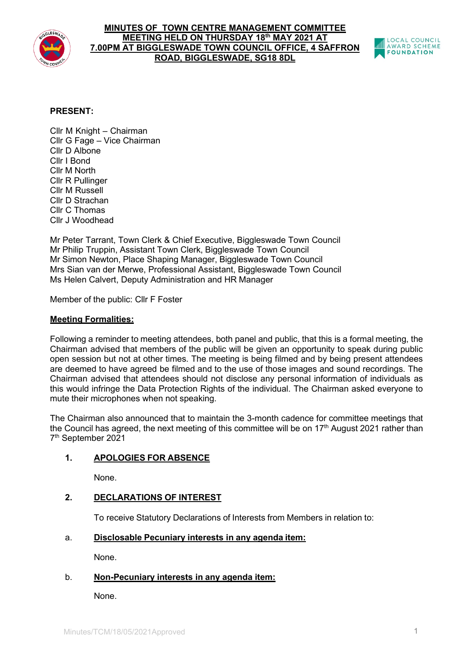

#### **MINUTES OF TOWN CENTRE MANAGEMENT COMMITTEE MEETING HELD ON THURSDAY 18th MAY 2021 AT 7.00PM AT BIGGLESWADE TOWN COUNCIL OFFICE, 4 SAFFRON ROAD, BIGGLESWADE, SG18 8DL**



# **PRESENT:**

Cllr M Knight – Chairman Cllr G Fage – Vice Chairman Cllr D Albone Cllr I Bond Cllr M North Cllr R Pullinger Cllr M Russell Cllr D Strachan Cllr C Thomas Cllr J Woodhead

Mr Peter Tarrant, Town Clerk & Chief Executive, Biggleswade Town Council Mr Philip Truppin, Assistant Town Clerk, Biggleswade Town Council Mr Simon Newton, Place Shaping Manager, Biggleswade Town Council Mrs Sian van der Merwe, Professional Assistant, Biggleswade Town Council Ms Helen Calvert, Deputy Administration and HR Manager

Member of the public: Cllr F Foster

# **Meeting Formalities:**

Following a reminder to meeting attendees, both panel and public, that this is a formal meeting, the Chairman advised that members of the public will be given an opportunity to speak during public open session but not at other times. The meeting is being filmed and by being present attendees are deemed to have agreed be filmed and to the use of those images and sound recordings. The Chairman advised that attendees should not disclose any personal information of individuals as this would infringe the Data Protection Rights of the individual. The Chairman asked everyone to mute their microphones when not speaking.

The Chairman also announced that to maintain the 3-month cadence for committee meetings that the Council has agreed, the next meeting of this committee will be on  $17<sup>th</sup>$  August 2021 rather than 7th September 2021

# **1. APOLOGIES FOR ABSENCE**

None.

## **2. DECLARATIONS OF INTEREST**

To receive Statutory Declarations of Interests from Members in relation to:

# a. **Disclosable Pecuniary interests in any agenda item:**

None.

## b. **Non-Pecuniary interests in any agenda item:**

None.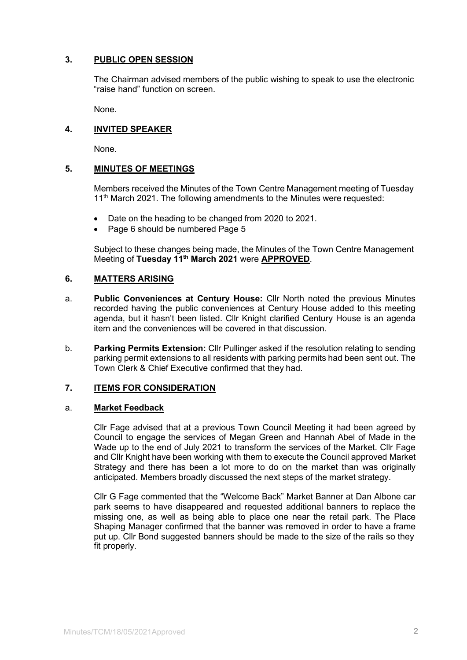# **3. PUBLIC OPEN SESSION**

The Chairman advised members of the public wishing to speak to use the electronic "raise hand" function on screen.

None.

## **4. INVITED SPEAKER**

None.

## **5. MINUTES OF MEETINGS**

Members received the Minutes of the Town Centre Management meeting of Tuesday 11<sup>th</sup> March 2021. The following amendments to the Minutes were requested:

- Date on the heading to be changed from 2020 to 2021.
- Page 6 should be numbered Page 5

Subject to these changes being made, the Minutes of the Town Centre Management Meeting of **Tuesday 11th March 2021** were **APPROVED**.

## **6. MATTERS ARISING**

- a. **Public Conveniences at Century House:** Cllr North noted the previous Minutes recorded having the public conveniences at Century House added to this meeting agenda, but it hasn't been listed. Cllr Knight clarified Century House is an agenda item and the conveniences will be covered in that discussion.
- b. **Parking Permits Extension:** Cllr Pullinger asked if the resolution relating to sending parking permit extensions to all residents with parking permits had been sent out. The Town Clerk & Chief Executive confirmed that they had.

## **7. ITEMS FOR CONSIDERATION**

## a. **Market Feedback**

Cllr Fage advised that at a previous Town Council Meeting it had been agreed by Council to engage the services of Megan Green and Hannah Abel of Made in the Wade up to the end of July 2021 to transform the services of the Market. Cllr Fage and Cllr Knight have been working with them to execute the Council approved Market Strategy and there has been a lot more to do on the market than was originally anticipated. Members broadly discussed the next steps of the market strategy.

Cllr G Fage commented that the "Welcome Back" Market Banner at Dan Albone car park seems to have disappeared and requested additional banners to replace the missing one, as well as being able to place one near the retail park. The Place Shaping Manager confirmed that the banner was removed in order to have a frame put up. Cllr Bond suggested banners should be made to the size of the rails so they fit properly.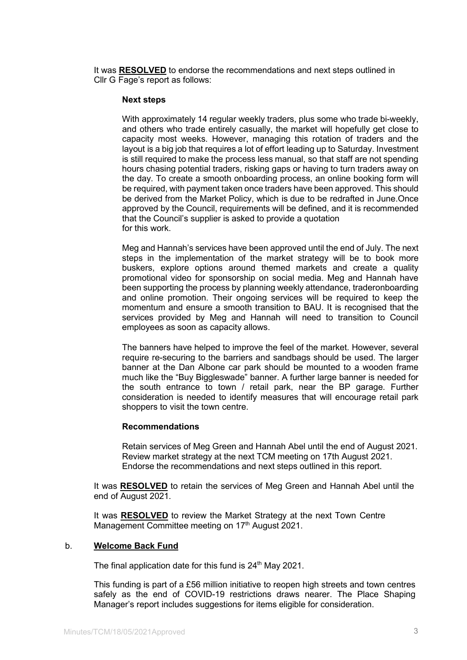It was **RESOLVED** to endorse the recommendations and next steps outlined in Cllr G Fage's report as follows:

#### **Next steps**

With approximately 14 regular weekly traders, plus some who trade bi-weekly, and others who trade entirely casually, the market will hopefully get close to capacity most weeks. However, managing this rotation of traders and the layout is a big job that requires a lot of effort leading up to Saturday. Investment is still required to make the process less manual, so that staff are not spending hours chasing potential traders, risking gaps or having to turn traders away on the day. To create a smooth onboarding process, an online booking form will be required, with payment taken once traders have been approved. This should be derived from the Market Policy, which is due to be redrafted in June.Once approved by the Council, requirements will be defined, and it is recommended that the Council's supplier is asked to provide a quotation for this work.

Meg and Hannah's services have been approved until the end of July. The next steps in the implementation of the market strategy will be to book more buskers, explore options around themed markets and create a quality promotional video for sponsorship on social media. Meg and Hannah have been supporting the process by planning weekly attendance, traderonboarding and online promotion. Their ongoing services will be required to keep the momentum and ensure a smooth transition to BAU. It is recognised that the services provided by Meg and Hannah will need to transition to Council employees as soon as capacity allows.

The banners have helped to improve the feel of the market. However, several require re-securing to the barriers and sandbags should be used. The larger banner at the Dan Albone car park should be mounted to a wooden frame much like the "Buy Biggleswade" banner. A further large banner is needed for the south entrance to town / retail park, near the BP garage. Further consideration is needed to identify measures that will encourage retail park shoppers to visit the town centre.

#### **Recommendations**

Retain services of Meg Green and Hannah Abel until the end of August 2021. Review market strategy at the next TCM meeting on 17th August 2021. Endorse the recommendations and next steps outlined in this report.

It was **RESOLVED** to retain the services of Meg Green and Hannah Abel until the end of August 2021.

It was **RESOLVED** to review the Market Strategy at the next Town Centre Management Committee meeting on 17<sup>th</sup> August 2021.

#### b. **Welcome Back Fund**

The final application date for this fund is 24<sup>th</sup> May 2021.

This funding is part of a £56 million initiative to reopen high streets and town centres safely as the end of COVID-19 restrictions draws nearer. The Place Shaping Manager's report includes suggestions for items eligible for consideration.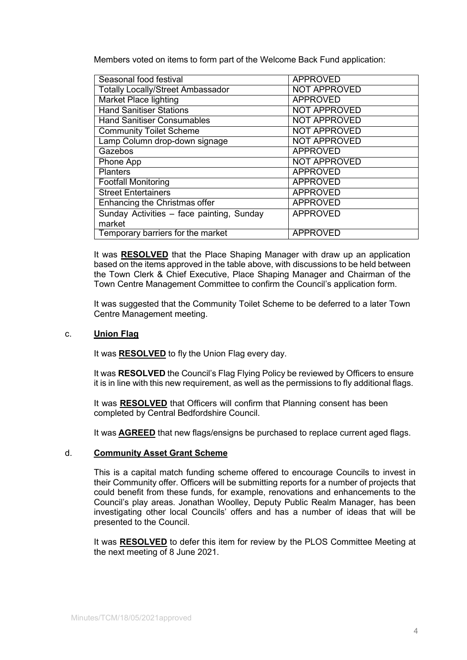Members voted on items to form part of the Welcome Back Fund application:

| Seasonal food festival                    | <b>APPROVED</b>     |
|-------------------------------------------|---------------------|
| <b>Totally Locally/Street Ambassador</b>  | <b>NOT APPROVED</b> |
| <b>Market Place lighting</b>              | <b>APPROVED</b>     |
| <b>Hand Sanitiser Stations</b>            | <b>NOT APPROVED</b> |
| <b>Hand Sanitiser Consumables</b>         | <b>NOT APPROVED</b> |
| <b>Community Toilet Scheme</b>            | <b>NOT APPROVED</b> |
| Lamp Column drop-down signage             | <b>NOT APPROVED</b> |
| Gazebos                                   | <b>APPROVED</b>     |
| Phone App                                 | <b>NOT APPROVED</b> |
| <b>Planters</b>                           | <b>APPROVED</b>     |
| <b>Footfall Monitoring</b>                | <b>APPROVED</b>     |
| <b>Street Entertainers</b>                | <b>APPROVED</b>     |
| Enhancing the Christmas offer             | <b>APPROVED</b>     |
| Sunday Activities - face painting, Sunday | <b>APPROVED</b>     |
| market                                    |                     |
| Temporary barriers for the market         | <b>APPROVED</b>     |

It was **RESOLVED** that the Place Shaping Manager with draw up an application based on the items approved in the table above, with discussions to be held between the Town Clerk & Chief Executive, Place Shaping Manager and Chairman of the Town Centre Management Committee to confirm the Council's application form.

It was suggested that the Community Toilet Scheme to be deferred to a later Town Centre Management meeting.

## c. **Union Flag**

It was **RESOLVED** to fly the Union Flag every day.

It was **RESOLVED** the Council's Flag Flying Policy be reviewed by Officers to ensure it is in line with this new requirement, as well as the permissions to fly additional flags.

It was **RESOLVED** that Officers will confirm that Planning consent has been completed by Central Bedfordshire Council.

It was **AGREED** that new flags/ensigns be purchased to replace current aged flags.

#### d. **Community Asset Grant Scheme**

This is a capital match funding scheme offered to encourage Councils to invest in their Community offer. Officers will be submitting reports for a number of projects that could benefit from these funds, for example, renovations and enhancements to the Council's play areas. Jonathan Woolley, Deputy Public Realm Manager, has been investigating other local Councils' offers and has a number of ideas that will be presented to the Council.

It was **RESOLVED** to defer this item for review by the PLOS Committee Meeting at the next meeting of 8 June 2021.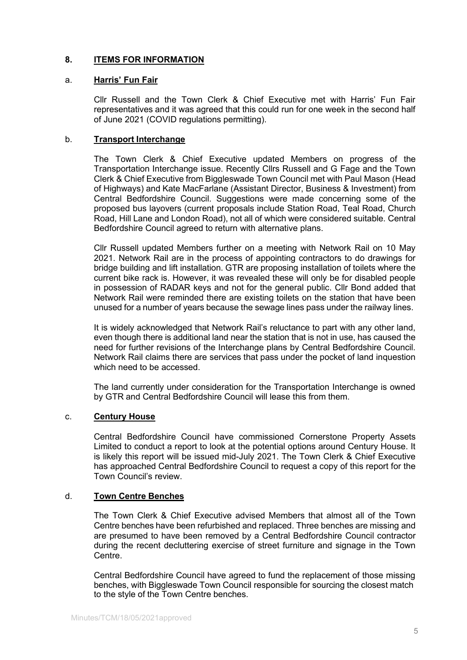# **8. ITEMS FOR INFORMATION**

#### a. **Harris' Fun Fair**

Cllr Russell and the Town Clerk & Chief Executive met with Harris' Fun Fair representatives and it was agreed that this could run for one week in the second half of June 2021 (COVID regulations permitting).

#### b. **Transport Interchange**

The Town Clerk & Chief Executive updated Members on progress of the Transportation Interchange issue. Recently Cllrs Russell and G Fage and the Town Clerk & Chief Executive from Biggleswade Town Council met with Paul Mason (Head of Highways) and Kate MacFarlane (Assistant Director, Business & Investment) from Central Bedfordshire Council. Suggestions were made concerning some of the proposed bus layovers (current proposals include Station Road, Teal Road, Church Road, Hill Lane and London Road), not all of which were considered suitable. Central Bedfordshire Council agreed to return with alternative plans.

Cllr Russell updated Members further on a meeting with Network Rail on 10 May 2021. Network Rail are in the process of appointing contractors to do drawings for bridge building and lift installation. GTR are proposing installation of toilets where the current bike rack is. However, it was revealed these will only be for disabled people in possession of RADAR keys and not for the general public. Cllr Bond added that Network Rail were reminded there are existing toilets on the station that have been unused for a number of years because the sewage lines pass under the railway lines.

It is widely acknowledged that Network Rail's reluctance to part with any other land, even though there is additional land near the station that is not in use, has caused the need for further revisions of the Interchange plans by Central Bedfordshire Council. Network Rail claims there are services that pass under the pocket of land inquestion which need to be accessed.

The land currently under consideration for the Transportation Interchange is owned by GTR and Central Bedfordshire Council will lease this from them.

## c. **Century House**

Central Bedfordshire Council have commissioned Cornerstone Property Assets Limited to conduct a report to look at the potential options around Century House. It is likely this report will be issued mid-July 2021. The Town Clerk & Chief Executive has approached Central Bedfordshire Council to request a copy of this report for the Town Council's review.

#### d. **Town Centre Benches**

The Town Clerk & Chief Executive advised Members that almost all of the Town Centre benches have been refurbished and replaced. Three benches are missing and are presumed to have been removed by a Central Bedfordshire Council contractor during the recent decluttering exercise of street furniture and signage in the Town Centre.

Central Bedfordshire Council have agreed to fund the replacement of those missing benches, with Biggleswade Town Council responsible for sourcing the closest match to the style of the Town Centre benches.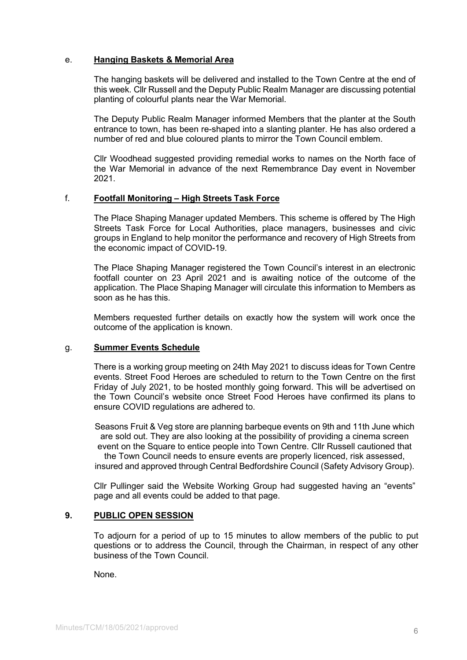## e. **Hanging Baskets & Memorial Area**

The hanging baskets will be delivered and installed to the Town Centre at the end of this week. Cllr Russell and the Deputy Public Realm Manager are discussing potential planting of colourful plants near the War Memorial.

The Deputy Public Realm Manager informed Members that the planter at the South entrance to town, has been re-shaped into a slanting planter. He has also ordered a number of red and blue coloured plants to mirror the Town Council emblem.

Cllr Woodhead suggested providing remedial works to names on the North face of the War Memorial in advance of the next Remembrance Day event in November 2021.

#### f. **Footfall Monitoring – High Streets Task Force**

The Place Shaping Manager updated Members. This scheme is offered by The High Streets Task Force for Local Authorities, place managers, businesses and civic groups in England to help monitor the performance and recovery of High Streets from the economic impact of COVID-19.

The Place Shaping Manager registered the Town Council's interest in an electronic footfall counter on 23 April 2021 and is awaiting notice of the outcome of the application. The Place Shaping Manager will circulate this information to Members as soon as he has this.

Members requested further details on exactly how the system will work once the outcome of the application is known.

## g. **Summer Events Schedule**

There is a working group meeting on 24th May 2021 to discuss ideas for Town Centre events. Street Food Heroes are scheduled to return to the Town Centre on the first Friday of July 2021, to be hosted monthly going forward. This will be advertised on the Town Council's website once Street Food Heroes have confirmed its plans to ensure COVID regulations are adhered to.

Seasons Fruit & Veg store are planning barbeque events on 9th and 11th June which are sold out. They are also looking at the possibility of providing a cinema screen event on the Square to entice people into Town Centre. Cllr Russell cautioned that the Town Council needs to ensure events are properly licenced, risk assessed,

insured and approved through Central Bedfordshire Council (Safety Advisory Group).

Cllr Pullinger said the Website Working Group had suggested having an "events" page and all events could be added to that page.

## **9. PUBLIC OPEN SESSION**

To adjourn for a period of up to 15 minutes to allow members of the public to put questions or to address the Council, through the Chairman, in respect of any other business of the Town Council.

None.